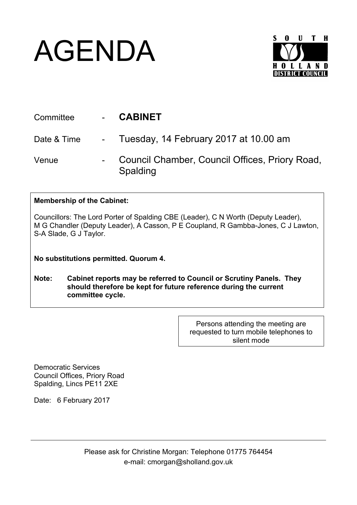## AGENDA



| Committee   | <b>CABINET</b>                                             |
|-------------|------------------------------------------------------------|
| Date & Time | - Tuesday, 14 February 2017 at 10.00 am                    |
| Venue       | Council Chamber, Council Offices, Priory Road,<br>Spalding |

## **Membership of the Cabinet:**

Councillors: The Lord Porter of Spalding CBE (Leader), C N Worth (Deputy Leader), M G Chandler (Deputy Leader), A Casson, P E Coupland, R Gambba-Jones, C J Lawton, S-A Slade, G J Taylor.

**No substitutions permitted. Quorum 4.**

**Note: Cabinet reports may be referred to Council or Scrutiny Panels. They should therefore be kept for future reference during the current committee cycle.** 

> Persons attending the meeting are requested to turn mobile telephones to silent mode

Democratic Services Council Offices, Priory Road Spalding, Lincs PE11 2XE

Date: 6 February 2017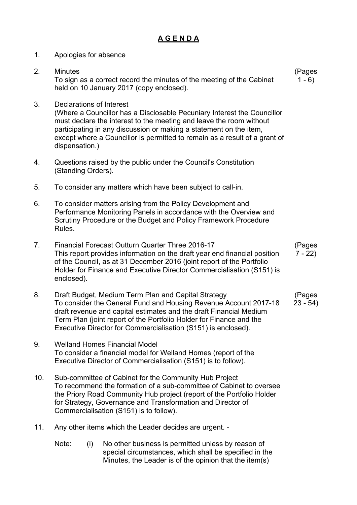## **A G E N D A**

1. Apologies for absence 2. Minutes To sign as a correct record the minutes of the meeting of the Cabinet held on 10 January 2017 (copy enclosed). (Pages  $1 - 6$ 3. Declarations of Interest (Where a Councillor has a Disclosable Pecuniary Interest the Councillor must declare the interest to the meeting and leave the room without participating in any discussion or making a statement on the item, except where a Councillor is permitted to remain as a result of a grant of dispensation.) 4. Questions raised by the public under the Council's Constitution (Standing Orders). 5. To consider any matters which have been subject to call-in. 6. To consider matters arising from the Policy Development and Performance Monitoring Panels in accordance with the Overview and Scrutiny Procedure or the Budget and Policy Framework Procedure Rules. 7. Financial Forecast Outturn Quarter Three 2016-17 This report provides information on the draft year end financial position of the Council, as at 31 December 2016 (joint report of the Portfolio Holder for Finance and Executive Director Commercialisation (S151) is enclosed). (Pages  $7 - 22$ 8. Draft Budget, Medium Term Plan and Capital Strategy To consider the General Fund and Housing Revenue Account 2017-18 draft revenue and capital estimates and the draft Financial Medium Term Plan (joint report of the Portfolio Holder for Finance and the Executive Director for Commercialisation (S151) is enclosed). (Pages 23 - 54) 9. Welland Homes Financial Model To consider a financial model for Welland Homes (report of the Executive Director of Commercialisation (S151) is to follow). 10. Sub-committee of Cabinet for the Community Hub Project To recommend the formation of a sub-committee of Cabinet to oversee the Priory Road Community Hub project (report of the Portfolio Holder for Strategy, Governance and Transformation and Director of Commercialisation (S151) is to follow). 11. Any other items which the Leader decides are urgent. - Note: (i) No other business is permitted unless by reason of special circumstances, which shall be specified in the

Minutes, the Leader is of the opinion that the item(s)